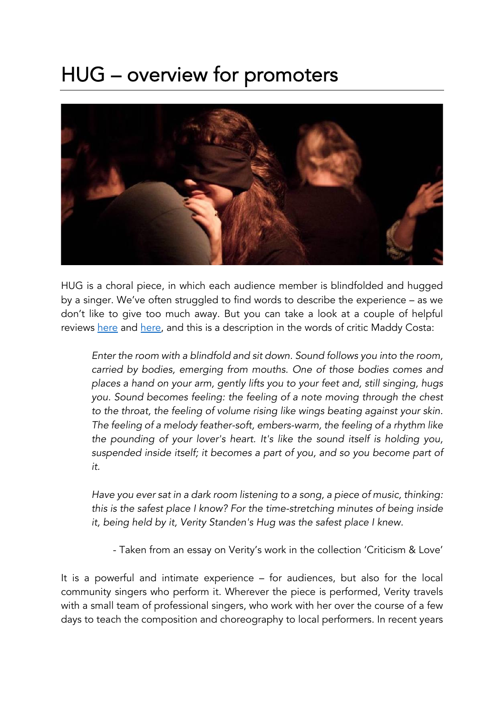## HUG – overview for promoters



HUG is a choral piece, in which each audience member is blindfolded and hugged by a singer. We've often struggled to find words to describe the experience – as we don't like to give too much away. But you can take a look at a couple of helpful reviews here and here, and this is a description in the words of critic Maddy Costa:

*Enter the room with a blindfold and sit down. Sound follows you into the room, carried by bodies, emerging from mouths. One of those bodies comes and places a hand on your arm, gently lifts you to your feet and, still singing, hugs you. Sound becomes feeling: the feeling of a note moving through the chest to the throat, the feeling of volume rising like wings beating against your skin. The feeling of a melody feather-soft, embers-warm, the feeling of a rhythm like the pounding of your lover's heart. It's like the sound itself is holding you, suspended inside itself; it becomes a part of you, and so you become part of it.*

*Have you ever sat in a dark room listening to a song, a piece of music, thinking: this is the safest place I know? For the time-stretching minutes of being inside it, being held by it, Verity Standen's Hug was the safest place I knew.*

- Taken from an essay on Verity's work in the collection 'Criticism & Love'

It is a powerful and intimate experience – for audiences, but also for the local community singers who perform it. Wherever the piece is performed, Verity travels with a small team of professional singers, who work with her over the course of a few days to teach the composition and choreography to local performers. In recent years